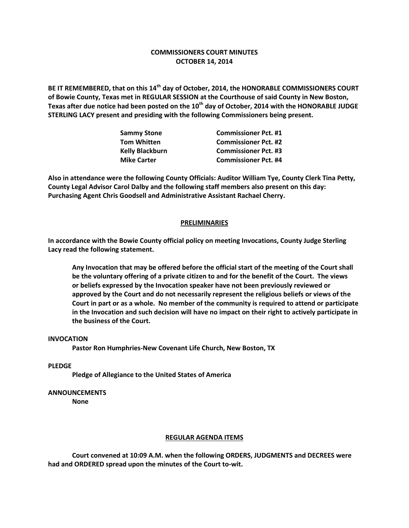# **COMMISSIONERS COURT MINUTES OCTOBER 14, 2014**

**BE IT REMEMBERED, that on this 14th day of October, 2014, the HONORABLE COMMISSIONERS COURT of Bowie County, Texas met in REGULAR SESSION at the Courthouse of said County in New Boston, Texas after due notice had been posted on the 10th day of October, 2014 with the HONORABLE JUDGE STERLING LACY present and presiding with the following Commissioners being present.**

| <b>Commissioner Pct. #1</b> |
|-----------------------------|
| <b>Commissioner Pct. #2</b> |
| <b>Commissioner Pct. #3</b> |
| <b>Commissioner Pct. #4</b> |
|                             |

**Also in attendance were the following County Officials: Auditor William Tye, County Clerk Tina Petty, County Legal Advisor Carol Dalby and the following staff members also present on this day: Purchasing Agent Chris Goodsell and Administrative Assistant Rachael Cherry.**

# **PRELIMINARIES**

**In accordance with the Bowie County official policy on meeting Invocations, County Judge Sterling Lacy read the following statement.**

**Any Invocation that may be offered before the official start of the meeting of the Court shall be the voluntary offering of a private citizen to and for the benefit of the Court. The views or beliefs expressed by the Invocation speaker have not been previously reviewed or approved by the Court and do not necessarily represent the religious beliefs or views of the Court in part or as a whole. No member of the community is required to attend or participate in the Invocation and such decision will have no impact on their right to actively participate in the business of the Court.**

# **INVOCATION**

**Pastor Ron Humphries-New Covenant Life Church, New Boston, TX**

## **PLEDGE**

**Pledge of Allegiance to the United States of America**

### **ANNOUNCEMENTS**

**None**

### **REGULAR AGENDA ITEMS**

**Court convened at 10:09 A.M. when the following ORDERS, JUDGMENTS and DECREES were had and ORDERED spread upon the minutes of the Court to-wit.**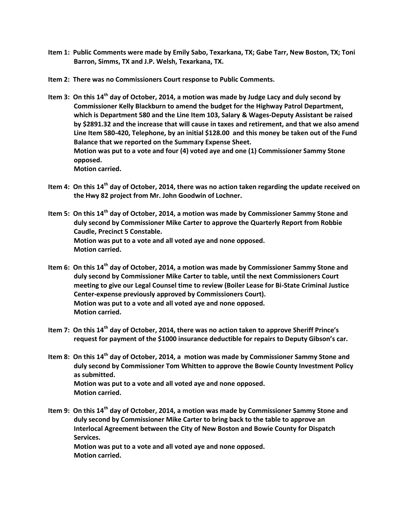- **Item 1: Public Comments were made by Emily Sabo, Texarkana, TX; Gabe Tarr, New Boston, TX; Toni Barron, Simms, TX and J.P. Welsh, Texarkana, TX.**
- **Item 2: There was no Commissioners Court response to Public Comments.**
- **Item 3: On this 14th day of October, 2014, a motion was made by Judge Lacy and duly second by Commissioner Kelly Blackburn to amend the budget for the Highway Patrol Department, which is Department 580 and the Line Item 103, Salary & Wages-Deputy Assistant be raised by \$2891.32 and the increase that will cause in taxes and retirement, and that we also amend Line Item 580-420, Telephone, by an initial \$128.00 and this money be taken out of the Fund Balance that we reported on the Summary Expense Sheet. Motion was put to a vote and four (4) voted aye and one (1) Commissioner Sammy Stone opposed. Motion carried.**
- **Item 4: On this 14th day of October, 2014, there was no action taken regarding the update received on the Hwy 82 project from Mr. John Goodwin of Lochner.**
- **Item 5: On this 14th day of October, 2014, a motion was made by Commissioner Sammy Stone and duly second by Commissioner Mike Carter to approve the Quarterly Report from Robbie Caudle, Precinct 5 Constable. Motion was put to a vote and all voted aye and none opposed. Motion carried.**
- **Item 6: On this 14th day of October, 2014, a motion was made by Commissioner Sammy Stone and duly second by Commissioner Mike Carter to table, until the next Commissioners Court meeting to give our Legal Counsel time to review (Boiler Lease for Bi-State Criminal Justice Center-expense previously approved by Commissioners Court). Motion was put to a vote and all voted aye and none opposed. Motion carried.**
- **Item 7: On this 14th day of October, 2014, there was no action taken to approve Sheriff Prince's request for payment of the \$1000 insurance deductible for repairs to Deputy Gibson's car.**
- **Item 8: On this 14th day of October, 2014, a motion was made by Commissioner Sammy Stone and duly second by Commissioner Tom Whitten to approve the Bowie County Investment Policy as submitted. Motion was put to a vote and all voted aye and none opposed. Motion carried.**
- **Item 9: On this 14th day of October, 2014, a motion was made by Commissioner Sammy Stone and duly second by Commissioner Mike Carter to bring back to the table to approve an Interlocal Agreement between the City of New Boston and Bowie County for Dispatch Services. Motion was put to a vote and all voted aye and none opposed. Motion carried.**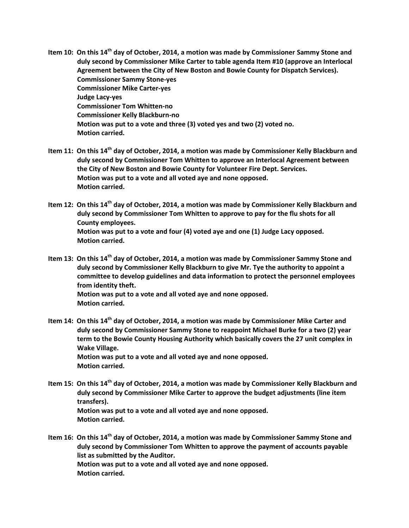- **Item 10: On this 14th day of October, 2014, a motion was made by Commissioner Sammy Stone and duly second by Commissioner Mike Carter to table agenda Item #10 (approve an Interlocal Agreement between the City of New Boston and Bowie County for Dispatch Services). Commissioner Sammy Stone-yes Commissioner Mike Carter-yes Judge Lacy-yes Commissioner Tom Whitten-no Commissioner Kelly Blackburn-no Motion was put to a vote and three (3) voted yes and two (2) voted no. Motion carried.**
- **Item 11: On this 14th day of October, 2014, a motion was made by Commissioner Kelly Blackburn and duly second by Commissioner Tom Whitten to approve an Interlocal Agreement between the City of New Boston and Bowie County for Volunteer Fire Dept. Services. Motion was put to a vote and all voted aye and none opposed. Motion carried.**
- **Item 12: On this 14th day of October, 2014, a motion was made by Commissioner Kelly Blackburn and duly second by Commissioner Tom Whitten to approve to pay for the flu shots for all County employees. Motion was put to a vote and four (4) voted aye and one (1) Judge Lacy opposed. Motion carried.**
- **Item 13: On this 14th day of October, 2014, a motion was made by Commissioner Sammy Stone and duly second by Commissioner Kelly Blackburn to give Mr. Tye the authority to appoint a committee to develop guidelines and data information to protect the personnel employees from identity theft. Motion was put to a vote and all voted aye and none opposed. Motion carried.**
- **Item 14: On this 14th day of October, 2014, a motion was made by Commissioner Mike Carter and duly second by Commissioner Sammy Stone to reappoint Michael Burke for a two (2) year term to the Bowie County Housing Authority which basically covers the 27 unit complex in Wake Village. Motion was put to a vote and all voted aye and none opposed. Motion carried.**
- **Item 15: On this 14th day of October, 2014, a motion was made by Commissioner Kelly Blackburn and duly second by Commissioner Mike Carter to approve the budget adjustments (line item transfers). Motion was put to a vote and all voted aye and none opposed. Motion carried.**
- **Item 16: On this 14th day of October, 2014, a motion was made by Commissioner Sammy Stone and duly second by Commissioner Tom Whitten to approve the payment of accounts payable list as submitted by the Auditor. Motion was put to a vote and all voted aye and none opposed. Motion carried.**